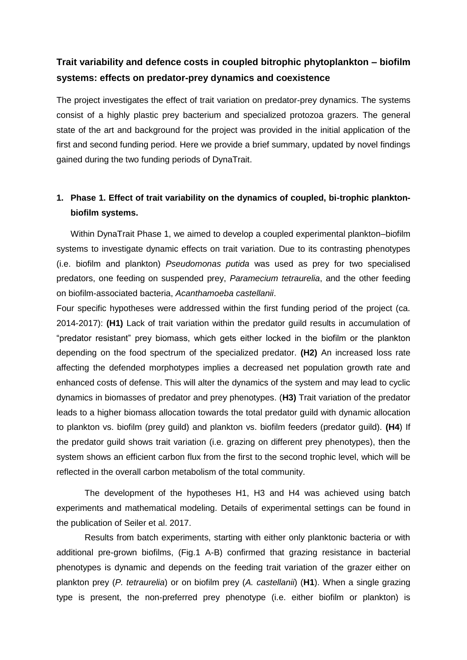## **Trait variability and defence costs in coupled bitrophic phytoplankton – biofilm systems: effects on predator-prey dynamics and coexistence**

The project investigates the effect of trait variation on predator-prey dynamics. The systems consist of a highly plastic prey bacterium and specialized protozoa grazers. The general state of the art and background for the project was provided in the initial application of the first and second funding period. Here we provide a brief summary, updated by novel findings gained during the two funding periods of DynaTrait.

## **1. Phase 1. Effect of trait variability on the dynamics of coupled, bi-trophic planktonbiofilm systems.**

Within DynaTrait Phase 1, we aimed to develop a coupled experimental plankton–biofilm systems to investigate dynamic effects on trait variation. Due to its contrasting phenotypes (i.e. biofilm and plankton) *Pseudomonas putida* was used as prey for two specialised predators, one feeding on suspended prey, *Paramecium tetraurelia*, and the other feeding on biofilm-associated bacteria, *Acanthamoeba castellanii*.

Four specific hypotheses were addressed within the first funding period of the project (ca. 2014-2017): **(H1)** Lack of trait variation within the predator guild results in accumulation of "predator resistant" prey biomass, which gets either locked in the biofilm or the plankton depending on the food spectrum of the specialized predator. **(H2)** An increased loss rate affecting the defended morphotypes implies a decreased net population growth rate and enhanced costs of defense. This will alter the dynamics of the system and may lead to cyclic dynamics in biomasses of predator and prey phenotypes. (**H3)** Trait variation of the predator leads to a higher biomass allocation towards the total predator guild with dynamic allocation to plankton vs. biofilm (prey guild) and plankton vs. biofilm feeders (predator guild). **(H4**) If the predator guild shows trait variation (i.e. grazing on different prey phenotypes), then the system shows an efficient carbon flux from the first to the second trophic level, which will be reflected in the overall carbon metabolism of the total community.

The development of the hypotheses H1, H3 and H4 was achieved using batch experiments and mathematical modeling. Details of experimental settings can be found in the publication of Seiler et al. 2017.

Results from batch experiments, starting with either only planktonic bacteria or with additional pre-grown biofilms, (Fig.1 A-B) confirmed that grazing resistance in bacterial phenotypes is dynamic and depends on the feeding trait variation of the grazer either on plankton prey (*P. tetraurelia*) or on biofilm prey (*A. castellanii*) (**H1**). When a single grazing type is present, the non-preferred prey phenotype (i.e. either biofilm or plankton) is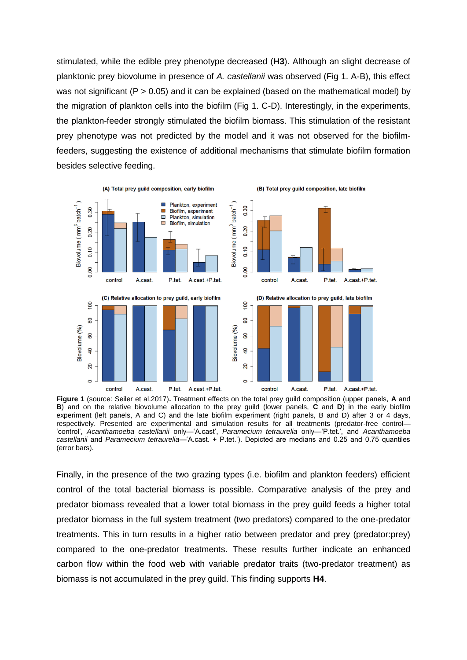stimulated, while the edible prey phenotype decreased (**H3**). Although an slight decrease of planktonic prey biovolume in presence of *A. castellanii* was observed (Fig 1. A-B), this effect was not significant ( $P > 0.05$ ) and it can be explained (based on the mathematical model) by the migration of plankton cells into the biofilm (Fig 1. C-D). Interestingly, in the experiments, the plankton-feeder strongly stimulated the biofilm biomass. This stimulation of the resistant prey phenotype was not predicted by the model and it was not observed for the biofilmfeeders, suggesting the existence of additional mechanisms that stimulate biofilm formation besides selective feeding.



**Figure 1** (source: Seiler et al.2017)**.** Treatment effects on the total prey guild composition (upper panels, **A** and **B**) and on the relative biovolume allocation to the prey guild (lower panels, **C** and **D**) in the early biofilm experiment (left panels, A and C) and the late biofilm experiment (right panels, B and D) after 3 or 4 days, respectively. Presented are experimental and simulation results for all treatments (predator-free control— 'control', *Acanthamoeba castellanii* only—'A.cast', *Paramecium tetraurelia* only—'P.tet.', and *Acanthamoeba castellanii* and *Paramecium tetraurelia*—'A.cast. + P.tet.'). Depicted are medians and 0.25 and 0.75 quantiles (error bars).

Finally, in the presence of the two grazing types (i.e. biofilm and plankton feeders) efficient control of the total bacterial biomass is possible. Comparative analysis of the prey and predator biomass revealed that a lower total biomass in the prey guild feeds a higher total predator biomass in the full system treatment (two predators) compared to the one-predator treatments. This in turn results in a higher ratio between predator and prey (predator:prey) compared to the one-predator treatments. These results further indicate an enhanced carbon flow within the food web with variable predator traits (two-predator treatment) as biomass is not accumulated in the prey guild. This finding supports **H4**.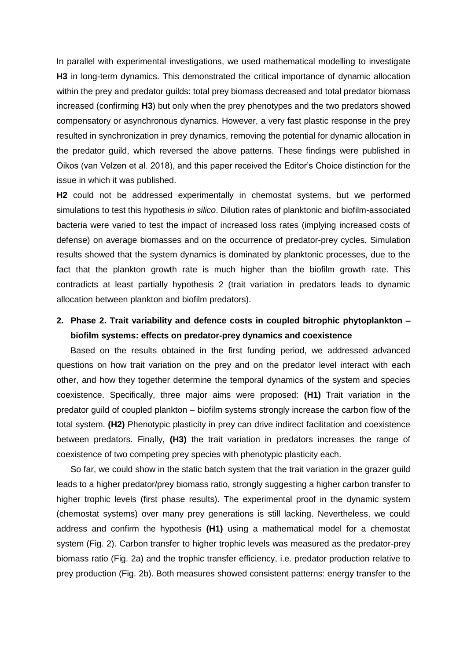In parallel with experimental investigations, we used mathematical modelling to investigate **H3** in long-term dynamics. This demonstrated the critical importance of dynamic allocation within the prey and predator guilds: total prey biomass decreased and total predator biomass increased (confirming **H3**) but only when the prey phenotypes and the two predators showed compensatory or asynchronous dynamics. However, a very fast plastic response in the prey resulted in synchronization in prey dynamics, removing the potential for dynamic allocation in the predator guild, which reversed the above patterns. These findings were published in Oikos (van Velzen et al. 2018), and this paper received the Editor's Choice distinction for the issue in which it was published.

**H2** could not be addressed experimentally in chemostat systems, but we performed simulations to test this hypothesis *in silico*. Dilution rates of planktonic and biofilm-associated bacteria were varied to test the impact of increased loss rates (implying increased costs of defense) on average biomasses and on the occurrence of predator-prey cycles. Simulation results showed that the system dynamics is dominated by planktonic processes, due to the fact that the plankton growth rate is much higher than the biofilm growth rate. This contradicts at least partially hypothesis 2 (trait variation in predators leads to dynamic allocation between plankton and biofilm predators).

## **2. Phase 2. Trait variability and defence costs in coupled bitrophic phytoplankton – biofilm systems: effects on predator-prey dynamics and coexistence**

Based on the results obtained in the first funding period, we addressed advanced questions on how trait variation on the prey and on the predator level interact with each other, and how they together determine the temporal dynamics of the system and species coexistence. Specifically, three major aims were proposed: **(H1)** Trait variation in the predator guild of coupled plankton – biofilm systems strongly increase the carbon flow of the total system. **(H2)** Phenotypic plasticity in prey can drive indirect facilitation and coexistence between predators. Finally, **(H3)** the trait variation in predators increases the range of coexistence of two competing prey species with phenotypic plasticity each.

So far, we could show in the static batch system that the trait variation in the grazer guild leads to a higher predator/prey biomass ratio, strongly suggesting a higher carbon transfer to higher trophic levels (first phase results). The experimental proof in the dynamic system (chemostat systems) over many prey generations is still lacking. Nevertheless, we could address and confirm the hypothesis **(H1)** using a mathematical model for a chemostat system (Fig. 2). Carbon transfer to higher trophic levels was measured as the predator-prey biomass ratio (Fig. 2a) and the trophic transfer efficiency, i.e. predator production relative to prey production (Fig. 2b). Both measures showed consistent patterns: energy transfer to the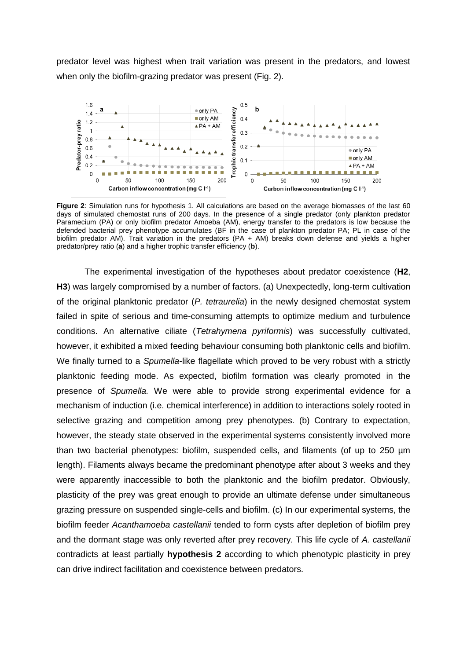predator level was highest when trait variation was present in the predators, and lowest when only the biofilm-grazing predator was present (Fig. 2).



**Figure 2**: Simulation runs for hypothesis 1. All calculations are based on the average biomasses of the last 60 days of simulated chemostat runs of 200 days. In the presence of a single predator (only plankton predator Paramecium (PA) or only biofilm predator Amoeba (AM), energy transfer to the predators is low because the defended bacterial prey phenotype accumulates (BF in the case of plankton predator PA; PL in case of the biofilm predator AM). Trait variation in the predators (PA + AM) breaks down defense and yields a higher predator/prey ratio (**a**) and a higher trophic transfer efficiency (**b**).

The experimental investigation of the hypotheses about predator coexistence (**H2**, **H3**) was largely compromised by a number of factors. (a) Unexpectedly, long-term cultivation of the original planktonic predator (*P. tetraurelia*) in the newly designed chemostat system failed in spite of serious and time-consuming attempts to optimize medium and turbulence conditions. An alternative ciliate (*Tetrahymena pyriformis*) was successfully cultivated, however, it exhibited a mixed feeding behaviour consuming both planktonic cells and biofilm. We finally turned to a *Spumella*-like flagellate which proved to be very robust with a strictly planktonic feeding mode. As expected, biofilm formation was clearly promoted in the presence of *Spumella.* We were able to provide strong experimental evidence for a mechanism of induction (i.e. chemical interference) in addition to interactions solely rooted in selective grazing and competition among prey phenotypes. (b) Contrary to expectation, however, the steady state observed in the experimental systems consistently involved more than two bacterial phenotypes: biofilm, suspended cells, and filaments (of up to 250 µm length). Filaments always became the predominant phenotype after about 3 weeks and they were apparently inaccessible to both the planktonic and the biofilm predator. Obviously, plasticity of the prey was great enough to provide an ultimate defense under simultaneous grazing pressure on suspended single-cells and biofilm. (c) In our experimental systems, the biofilm feeder *Acanthamoeba castellanii* tended to form cysts after depletion of biofilm prey and the dormant stage was only reverted after prey recovery. This life cycle of *A. castellanii* contradicts at least partially **hypothesis 2** according to which phenotypic plasticity in prey can drive indirect facilitation and coexistence between predators.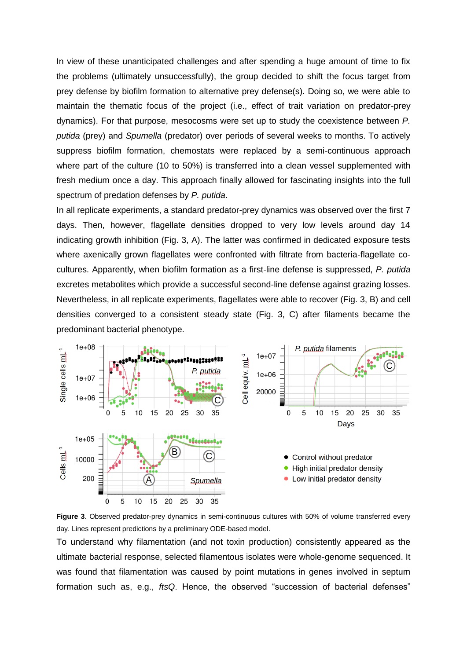In view of these unanticipated challenges and after spending a huge amount of time to fix the problems (ultimately unsuccessfully), the group decided to shift the focus target from prey defense by biofilm formation to alternative prey defense(s). Doing so, we were able to maintain the thematic focus of the project (i.e., effect of trait variation on predator-prey dynamics). For that purpose, mesocosms were set up to study the coexistence between *P. putida* (prey) and *Spumella* (predator) over periods of several weeks to months. To actively suppress biofilm formation, chemostats were replaced by a semi-continuous approach where part of the culture (10 to 50%) is transferred into a clean vessel supplemented with fresh medium once a day. This approach finally allowed for fascinating insights into the full spectrum of predation defenses by *P. putida*.

In all replicate experiments, a standard predator-prey dynamics was observed over the first 7 days. Then, however, flagellate densities dropped to very low levels around day 14 indicating growth inhibition (Fig. 3, A). The latter was confirmed in dedicated exposure tests where axenically grown flagellates were confronted with filtrate from bacteria-flagellate cocultures. Apparently, when biofilm formation as a first-line defense is suppressed, *P. putida* excretes metabolites which provide a successful second-line defense against grazing losses. Nevertheless, in all replicate experiments, flagellates were able to recover (Fig. 3, B) and cell densities converged to a consistent steady state (Fig. 3, C) after filaments became the predominant bacterial phenotype.



**Figure 3**. Observed predator-prey dynamics in semi-continuous cultures with 50% of volume transferred every day. Lines represent predictions by a preliminary ODE-based model.

To understand why filamentation (and not toxin production) consistently appeared as the ultimate bacterial response, selected filamentous isolates were whole-genome sequenced. It was found that filamentation was caused by point mutations in genes involved in septum formation such as, e.g., *ftsQ*. Hence, the observed "succession of bacterial defenses"